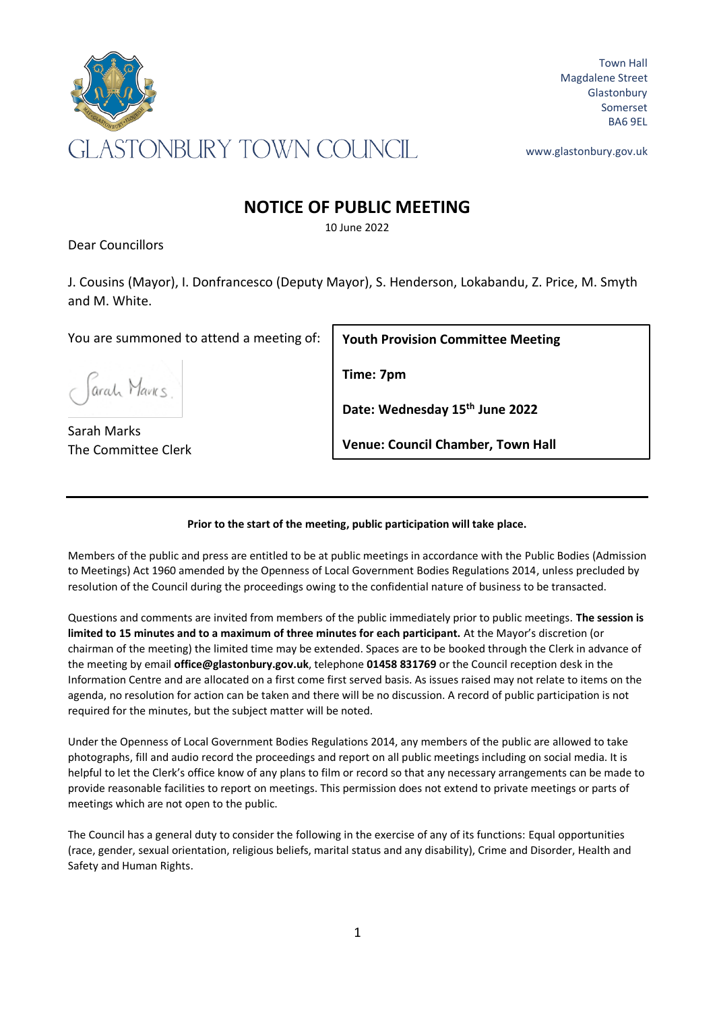

Town Hall Magdalene Street Glastonbury Somerset BA6 9EL

www.glastonbury.gov.uk

## **NOTICE OF PUBLIC MEETING**

10 June 2022

Dear Councillors

J. Cousins (Mayor), I. Donfrancesco (Deputy Mayor), S. Henderson, Lokabandu, Z. Price, M. Smyth and M. White.

You are summoned to attend a meeting of:

Jarah Mavks.

Sarah Marks The Committee Clerk

**Youth Provision Committee Meeting** 

**Time: 7pm**

**Date: Wednesday 15th June 2022**

**Venue: Council Chamber, Town Hall**

## **Prior to the start of the meeting, public participation will take place.**

Members of the public and press are entitled to be at public meetings in accordance with the Public Bodies (Admission to Meetings) Act 1960 amended by the Openness of Local Government Bodies Regulations 2014, unless precluded by resolution of the Council during the proceedings owing to the confidential nature of business to be transacted.

Questions and comments are invited from members of the public immediately prior to public meetings. **The session is limited to 15 minutes and to a maximum of three minutes for each participant.** At the Mayor's discretion (or chairman of the meeting) the limited time may be extended. Spaces are to be booked through the Clerk in advance of the meeting by email **office@glastonbury.gov.uk**, telephone **01458 831769** or the Council reception desk in the Information Centre and are allocated on a first come first served basis. As issues raised may not relate to items on the agenda, no resolution for action can be taken and there will be no discussion. A record of public participation is not required for the minutes, but the subject matter will be noted.

Under the Openness of Local Government Bodies Regulations 2014, any members of the public are allowed to take photographs, fill and audio record the proceedings and report on all public meetings including on social media. It is helpful to let the Clerk's office know of any plans to film or record so that any necessary arrangements can be made to provide reasonable facilities to report on meetings. This permission does not extend to private meetings or parts of meetings which are not open to the public.

The Council has a general duty to consider the following in the exercise of any of its functions: Equal opportunities (race, gender, sexual orientation, religious beliefs, marital status and any disability), Crime and Disorder, Health and Safety and Human Rights.